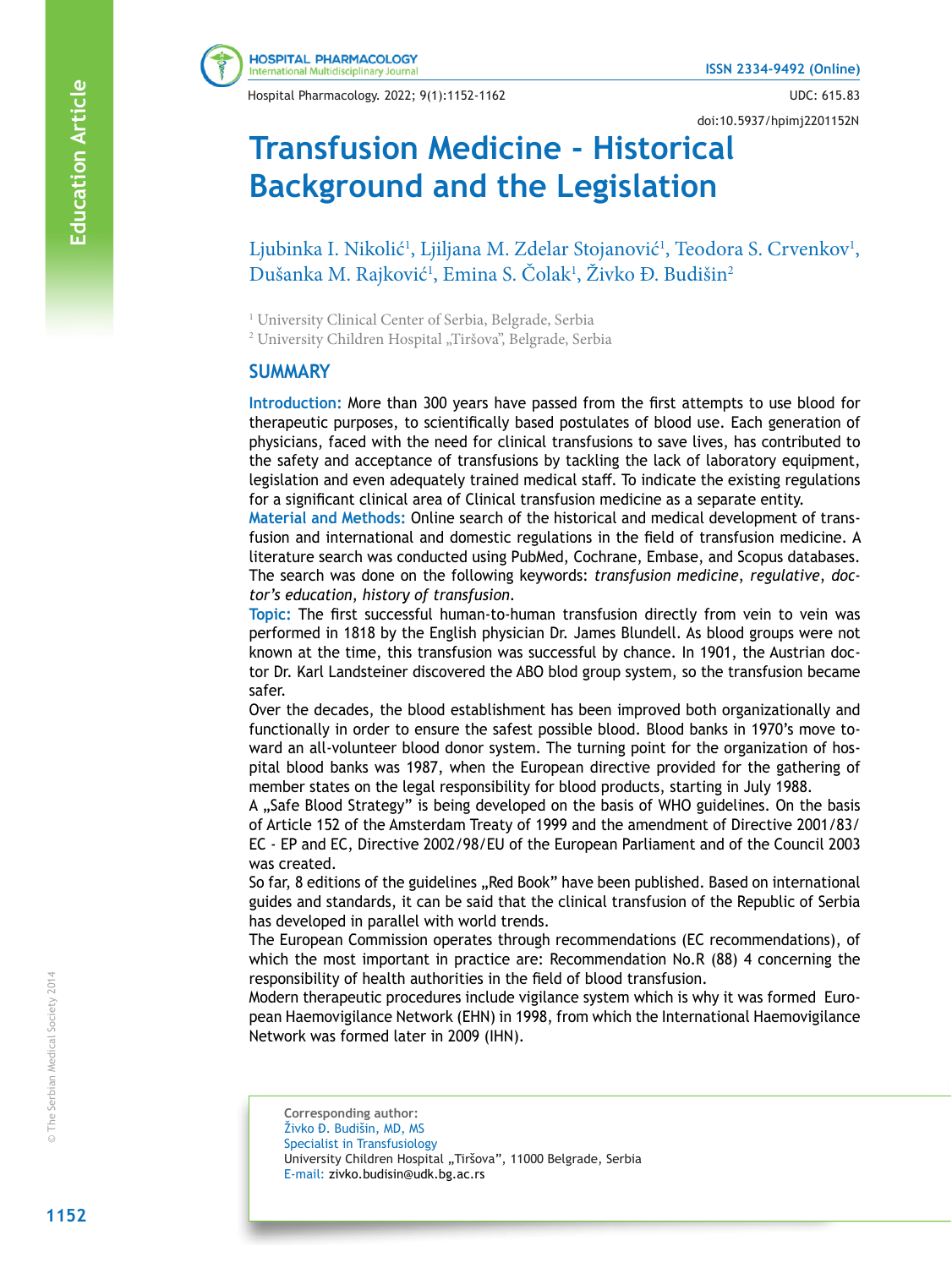Hospital Pharmacology. 2022; 9(1):1152-1162 UDC: 615.83

doi:10.5937/hpimj2201152N

# **Transfusion Medicine - Historical Background and the Legislation**

**A** Ljubinka I. Nikolić<sup>1</sup>, Ljiljana M. Zdelar Stojanović<sup>1</sup>, Teodora S. Crvenkov<sup>1</sup>, Dušanka M. Rajković<sup>1</sup>, Emina S. Čolak<sup>1</sup>, Živko Đ. Budišin<sup>2</sup>

<sup>1</sup> University Clinical Center of Serbia, Belgrade, Serbia

<sup>2</sup> University Children Hospital "Tiršova", Belgrade, Serbia

# **SUMMARY**

**Introduction:** More than 300 years have passed from the first attempts to use blood for therapeutic purposes, to scientifically based postulates of blood use. Each generation of physicians, faced with the need for clinical transfusions to save lives, has contributed to the safety and acceptance of transfusions by tackling the lack of laboratory equipment, legislation and even adequately trained medical staff. To indicate the existing regulations for a significant clinical area of Clinical transfusion medicine as a separate entity.

**Material and Methods:** Online search of the historical and medical development of trans fusion and international and domestic regulations in the field of transfusion medicine. A literature search was conducted using PubMed, Cochrane, Embase, and Scopus databases. The search was done on the following keywords: *transfusion medicine*, *regulative*, *doc tor's education*, *history of transfusion* .

**Topic:** The first successful human-to-human transfusion directly from vein to vein was performed in 1818 by the English physician Dr. James Blundell. As blood groups were not known at the time, this transfusion was successful by chance. In 1901, the Austrian doc tor Dr. Karl Landsteiner discovered the ABO blod group system, so the transfusion became safer.

Over the decades, the blood establishment has been improved both organizationally and functionally in order to ensure the safest possible blood. Blood banks in 1970's move to ward an all-volunteer blood donor system. The turning point for the organization of hos pital blood banks was 1987, when the European directive provided for the gathering of member states on the legal responsibility for blood products, starting in July 1988.

A "Safe Blood Strategy" is being developed on the basis of WHO guidelines. On the basis of Article 152 of the Amsterdam Treaty of 1999 and the amendment of Directive 2001/83/ EC - EP and EC, Directive 2002/98/EU of the European Parliament and of the Council 2003 was created.

So far, 8 editions of the guidelines "Red Book" have been published. Based on international guides and standards, it can be said that the clinical transfusion of the Republic of Serbia has developed in parallel with world trends.

The European Commission operates through recommendations (EC recommendations), of which the most important in practice are: Recommendation No.R (88) 4 concerning the responsibility of health authorities in the field of blood transfusion.

Modern therapeutic procedures include vigilance system which is why it was formed Euro pean Haemovigilance Network (EHN) in 1998, from which the International Haemovigilance Network was formed later in 2009 (IHN).

**Corresponding author:** Živko Đ. Budišin, MD, MS Specialist in Transfusiology University Children Hospital "Tiršova", 11000 Belgrade, Serbia E-mail: zivko.budisin@udk.bg.ac.rs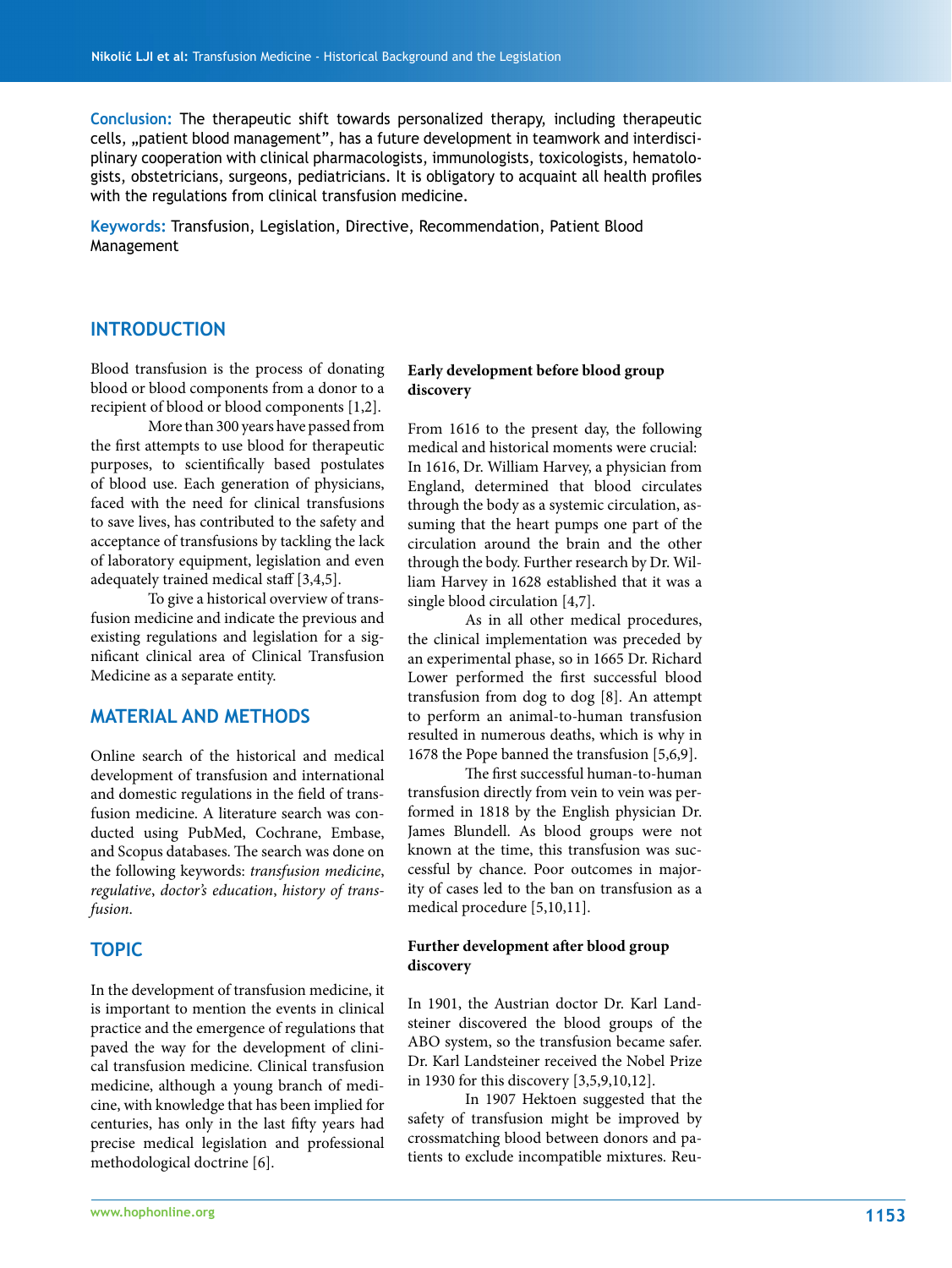**Conclusion:** The therapeutic shift towards personalized therapy, including therapeutic cells, "patient blood management", has a future development in teamwork and interdisciplinary cooperation with clinical pharmacologists, immunologists, toxicologists, hematologists, obstetricians, surgeons, pediatricians. It is obligatory to acquaint all health profiles with the regulations from clinical transfusion medicine.

**Keywords:** Transfusion, Legislation, Directive, Recommendation, Patient Blood Management

# **INTRODUCTION**

Blood transfusion is the process of donating blood or blood components from a donor to a recipient of blood or blood components [1,2].

More than 300 years have passed from the first attempts to use blood for therapeutic purposes, to scientifically based postulates of blood use. Each generation of physicians, faced with the need for clinical transfusions to save lives, has contributed to the safety and acceptance of transfusions by tackling the lack of laboratory equipment, legislation and even adequately trained medical staff [3,4,5].

To give a historical overview of transfusion medicine and indicate the previous and existing regulations and legislation for a significant clinical area of Clinical Transfusion Medicine as a separate entity.

# **MATERIAL AND METHODS**

Online search of the historical and medical development of transfusion and international and domestic regulations in the field of transfusion medicine. A literature search was conducted using PubMed, Cochrane, Embase, and Scopus databases. The search was done on the following keywords: *transfusion medicine*, *regulative*, *doctor's education*, *history of transfusion*.

#### **TOPIC**

In the development of transfusion medicine, it is important to mention the events in clinical practice and the emergence of regulations that paved the way for the development of clinical transfusion medicine. Clinical transfusion medicine, although a young branch of medicine, with knowledge that has been implied for centuries, has only in the last fifty years had precise medical legislation and professional methodological doctrine [6].

#### **Early development before blood group discovery**

From 1616 to the present day, the following medical and historical moments were crucial: In 1616, Dr. William Harvey, a physician from England, determined that blood circulates through the body as a systemic circulation, assuming that the heart pumps one part of the circulation around the brain and the other through the body. Further research by Dr. William Harvey in 1628 established that it was a single blood circulation [4,7].

As in all other medical procedures, the clinical implementation was preceded by an experimental phase, so in 1665 Dr. Richard Lower performed the first successful blood transfusion from dog to dog [8]. An attempt to perform an animal-to-human transfusion resulted in numerous deaths, which is why in 1678 the Pope banned the transfusion [5,6,9].

The first successful human-to-human transfusion directly from vein to vein was performed in 1818 by the English physician Dr. James Blundell. As blood groups were not known at the time, this transfusion was successful by chance. Poor outcomes in majority of cases led to the ban on transfusion as a medical procedure [5,10,11].

#### **Further development after blood group discovery**

In 1901, the Austrian doctor Dr. Karl Landsteiner discovered the blood groups of the ABO system, so the transfusion became safer. Dr. Karl Landsteiner received the Nobel Prize in 1930 for this discovery [3,5,9,10,12].

In 1907 Hektoen suggested that the safety of transfusion might be improved by crossmatching blood between donors and patients to exclude incompatible mixtures. Reu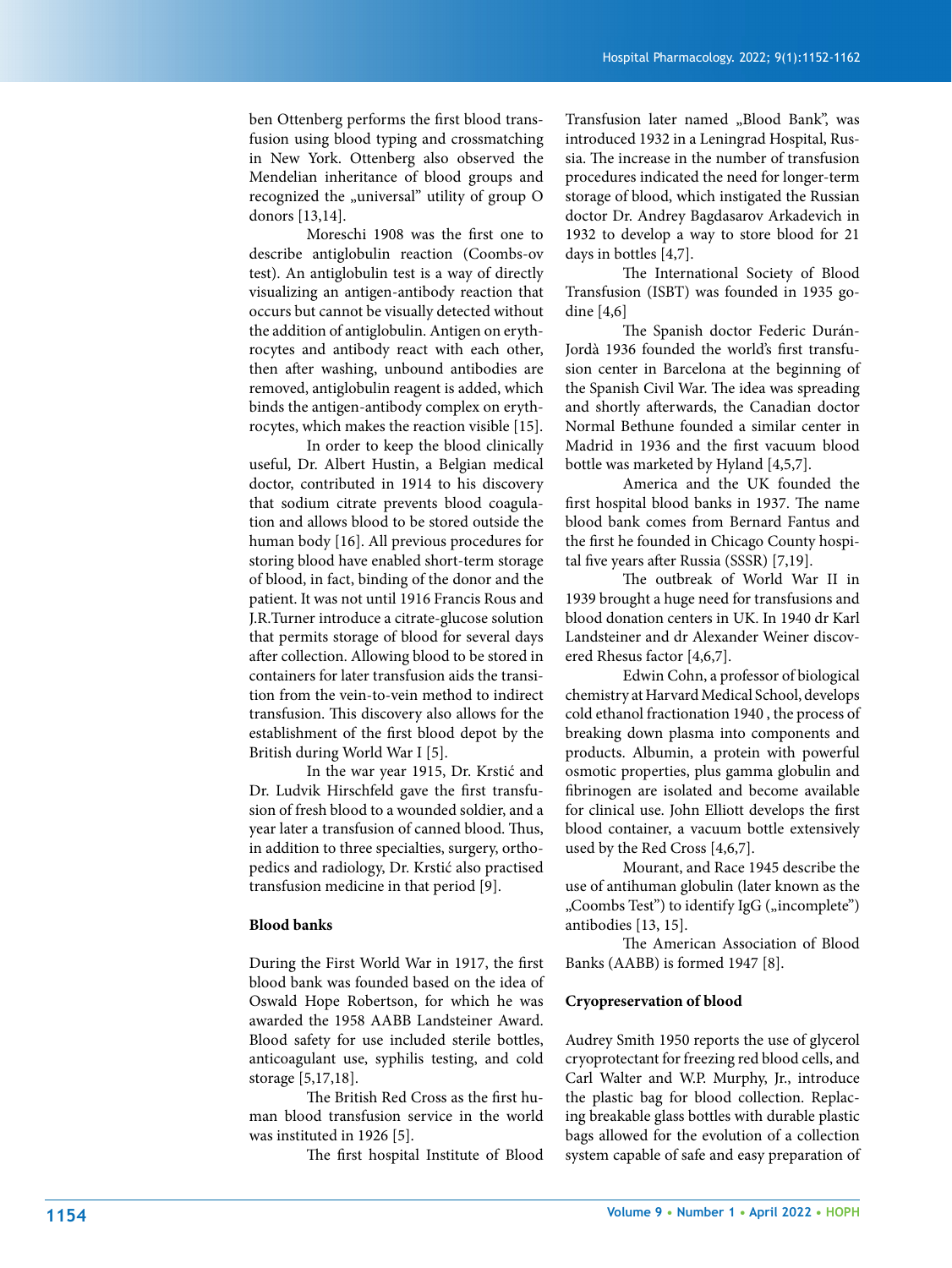ben Ottenberg performs the first blood transfusion using blood typing and crossmatching in New York. Ottenberg also observed the Mendelian inheritance of blood groups and recognized the "universal" utility of group O donors [13,14].

Moreschi 1908 was the first one to describe antiglobulin reaction (Coombs-ov test). An antiglobulin test is a way of directly visualizing an antigen-antibody reaction that occurs but cannot be visually detected without the addition of antiglobulin. Antigen on erythrocytes and antibody react with each other, then after washing, unbound antibodies are removed, antiglobulin reagent is added, which binds the antigen-antibody complex on erythrocytes, which makes the reaction visible [15].

In order to keep the blood clinically useful, Dr. Albert Hustin, a Belgian medical doctor, contributed in 1914 to his discovery that sodium citrate prevents blood coagulation and allows blood to be stored outside the human body [16]. All previous procedures for storing blood have enabled short-term storage of blood, in fact, binding of the donor and the patient. It was not until 1916 Francis Rous and J.R.Turner introduce a citrate-glucose solution that permits storage of blood for several days after collection. Allowing blood to be stored in containers for later transfusion aids the transition from the vein-to-vein method to indirect transfusion. This discovery also allows for the establishment of the first blood depot by the British during World War I [5].

In the war year 1915, Dr. Krstić and Dr. Ludvik Hirschfeld gave the first transfusion of fresh blood to a wounded soldier, and a year later a transfusion of canned blood. Thus, in addition to three specialties, surgery, orthopedics and radiology, Dr. Krstić also practised transfusion medicine in that period [9].

#### **Blood banks**

During the First World War in 1917, the first blood bank was founded based on the idea of Oswald Hope Robertson, for which he was awarded the 1958 AABB Landsteiner Award. Blood safety for use included sterile bottles, anticoagulant use, syphilis testing, and cold storage [5,17,18].

The British Red Cross as the first human blood transfusion service in the world was instituted in 1926 [5].

The first hospital Institute of Blood

Transfusion later named "Blood Bank", was introduced 1932 in a Leningrad Hospital, Russia. The increase in the number of transfusion procedures indicated the need for longer-term storage of blood, which instigated the Russian doctor Dr. Andrey Bagdasarov Arkadevich in 1932 to develop a way to store blood for 21 days in bottles [4,7].

The International Society of Blood Transfusion (ISBT) was founded in 1935 godine [4,6]

The Spanish doctor Federic Durán-Jordà 1936 founded the world's first transfusion center in Barcelona at the beginning of the Spanish Civil War. The idea was spreading and shortly afterwards, the Canadian doctor Normal Bethune founded a similar center in Madrid in 1936 and the first vacuum blood bottle was marketed by Hyland [4,5,7].

America and the UK founded the first hospital blood banks in 1937. The name blood bank comes from Bernard Fantus and the first he founded in Chicago County hospital five years after Russia (SSSR) [7,19].

The outbreak of World War II in 1939 brought a huge need for transfusions and blood donation centers in UK. In 1940 dr Karl Landsteiner and dr Alexander Weiner discovered Rhesus factor [4,6,7].

Edwin Cohn, a professor of biological chemistry at Harvard Medical School, develops cold ethanol fractionation 1940 , the process of breaking down plasma into components and products. Albumin, a protein with powerful osmotic properties, plus gamma globulin and fibrinogen are isolated and become available for clinical use. John Elliott develops the first blood container, a vacuum bottle extensively used by the Red Cross [4,6,7].

Mourant, and Race 1945 describe the use of antihuman globulin (later known as the "Coombs Test") to identify IgG ("incomplete") antibodies [13, 15].

The American Association of Blood Banks (AABB) is formed 1947 [8].

#### **Cryopreservation of blood**

Audrey Smith 1950 reports the use of glycerol cryoprotectant for freezing red blood cells, and Carl Walter and W.P. Murphy, Jr., introduce the plastic bag for blood collection. Replacing breakable glass bottles with durable plastic bags allowed for the evolution of a collection system capable of safe and easy preparation of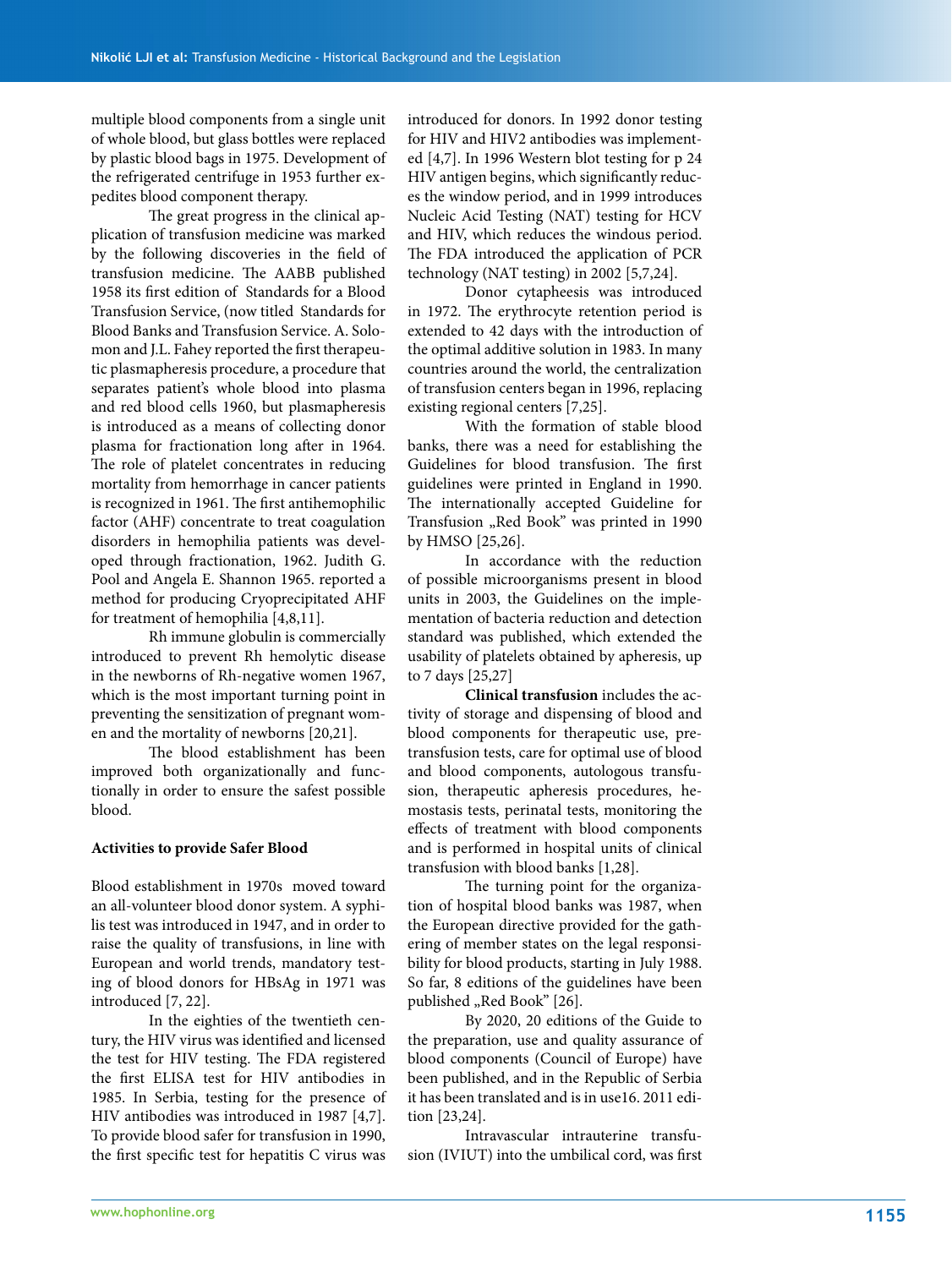multiple blood components from a single unit of whole blood, but glass bottles were replaced by plastic blood bags in 1975. Development of the refrigerated centrifuge in 1953 further expedites blood component therapy.

The great progress in the clinical application of transfusion medicine was marked by the following discoveries in the field of transfusion medicine. The AABB published 1958 its first edition of Standards for a Blood Transfusion Service, (now titled Standards for Blood Banks and Transfusion Service. A. Solomon and J.L. Fahey reported the first therapeutic plasmapheresis procedure, a procedure that separates patient's whole blood into plasma and red blood cells 1960, but plasmapheresis is introduced as a means of collecting donor plasma for fractionation long after in 1964. The role of platelet concentrates in reducing mortality from hemorrhage in cancer patients is recognized in 1961. The first antihemophilic factor (AHF) concentrate to treat coagulation disorders in hemophilia patients was developed through fractionation, 1962. Judith G. Pool and Angela E. Shannon 1965. reported a method for producing Cryoprecipitated AHF for treatment of hemophilia [4,8,11].

Rh immune globulin is commercially introduced to prevent Rh hemolytic disease in the newborns of Rh-negative women 1967, which is the most important turning point in preventing the sensitization of pregnant women and the mortality of newborns [20,21].

The blood establishment has been improved both organizationally and functionally in order to ensure the safest possible blood.

#### **Activities to provide Safer Blood**

Blood establishment in 1970s moved toward an all-volunteer blood donor system. A syphilis test was introduced in 1947, and in order to raise the quality of transfusions, in line with European and world trends, mandatory testing of blood donors for HBsAg in 1971 was introduced [7, 22].

In the eighties of the twentieth century, the HIV virus was identified and licensed the test for HIV testing. The FDA registered the first ELISA test for HIV antibodies in 1985. In Serbia, testing for the presence of HIV antibodies was introduced in 1987 [4,7]. To provide blood safer for transfusion in 1990, the first specific test for hepatitis C virus was

introduced for donors. In 1992 donor testing for HIV and HIV2 antibodies was implemented [4,7]. In 1996 Western blot testing for p 24 HIV antigen begins, which significantly reduces the window period, and in 1999 introduces Nucleic Acid Testing (NAT) testing for HCV and HIV, which reduces the windous period. The FDA introduced the application of PCR technology (NAT testing) in 2002 [5,7,24].

Donor cytapheesis was introduced in 1972. The erythrocyte retention period is extended to 42 days with the introduction of the optimal additive solution in 1983. In many countries around the world, the centralization of transfusion centers began in 1996, replacing existing regional centers [7,25].

With the formation of stable blood banks, there was a need for establishing the Guidelines for blood transfusion. The first guidelines were printed in England in 1990. The internationally accepted Guideline for Transfusion "Red Book" was printed in 1990 by HMSO [25,26].

In accordance with the reduction of possible microorganisms present in blood units in 2003, the Guidelines on the implementation of bacteria reduction and detection standard was published, which extended the usability of platelets obtained by apheresis, up to 7 days [25,27]

**Clinical transfusion** includes the activity of storage and dispensing of blood and blood components for therapeutic use, pretransfusion tests, care for optimal use of blood and blood components, autologous transfusion, therapeutic apheresis procedures, hemostasis tests, perinatal tests, monitoring the effects of treatment with blood components and is performed in hospital units of clinical transfusion with blood banks [1,28].

The turning point for the organization of hospital blood banks was 1987, when the European directive provided for the gathering of member states on the legal responsibility for blood products, starting in July 1988. So far, 8 editions of the guidelines have been published "Red Book" [26].

By 2020, 20 editions of the Guide to the preparation, use and quality assurance of blood components (Council of Europe) have been published, and in the Republic of Serbia it has been translated and is in use16. 2011 edition [23,24].

Intravascular intrauterine transfusion (IVIUT) into the umbilical cord, was first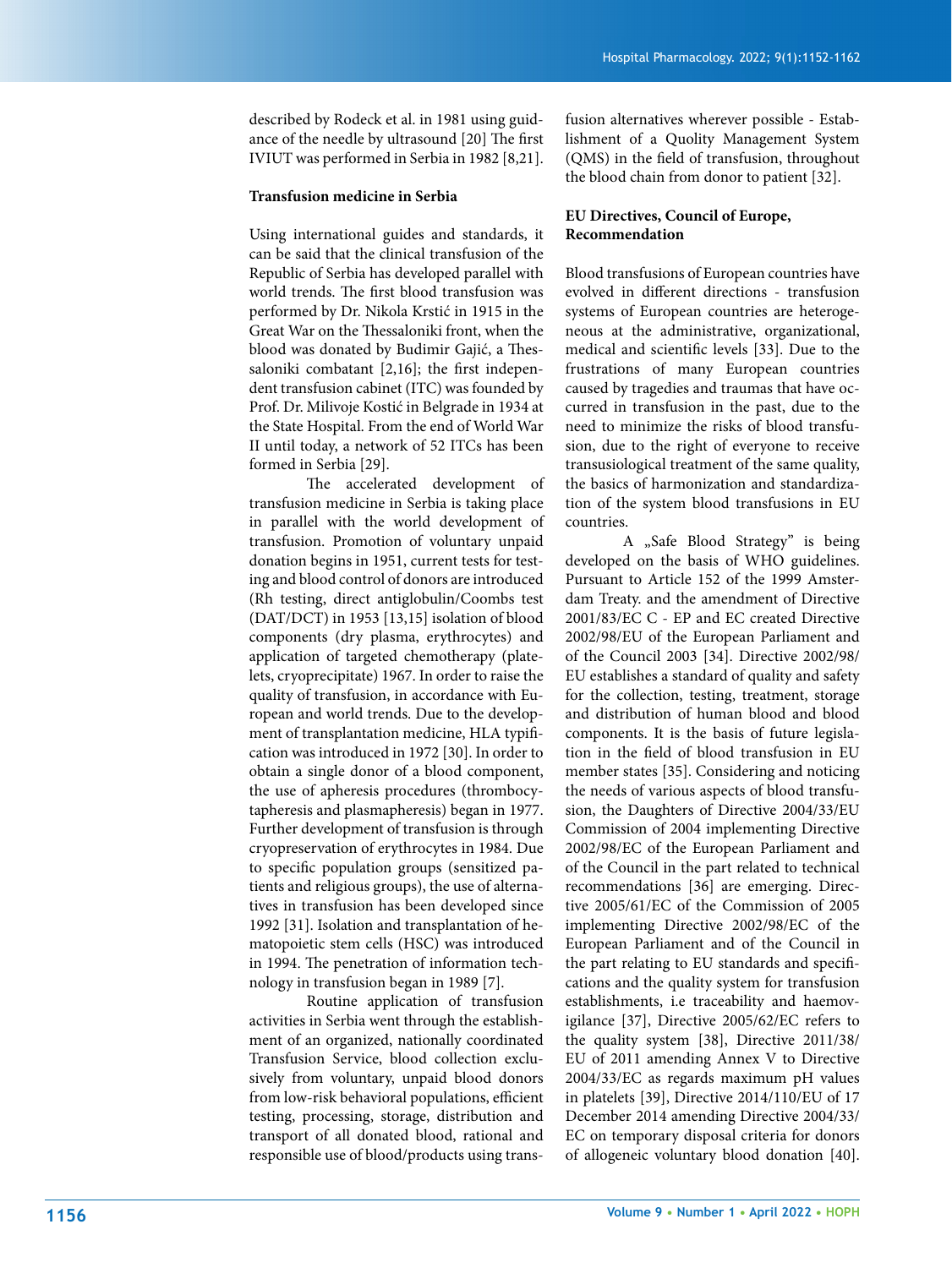described by Rodeck et al. in 1981 using guidance of the needle by ultrasound [20] The first IVIUT was performed in Serbia in 1982 [8,21].

#### **Transfusion medicine in Serbia**

Using international guides and standards, it can be said that the clinical transfusion of the Republic of Serbia has developed parallel with world trends. The first blood transfusion was performed by Dr. Nikola Krstić in 1915 in the Great War on the Thessaloniki front, when the blood was donated by Budimir Gajić, a Thessaloniki combatant [2,16]; the first independent transfusion cabinet (ITC) was founded by Prof. Dr. Milivoje Kostić in Belgrade in 1934 at the State Hospital. From the end of World War II until today, a network of 52 ITCs has been formed in Serbia [29].

The accelerated development of transfusion medicine in Serbia is taking place in parallel with the world development of transfusion. Promotion of voluntary unpaid donation begins in 1951, current tests for testing and blood control of donors are introduced (Rh testing, direct antiglobulin/Coombs test (DAT/DCT) in 1953 [13,15] isolation of blood components (dry plasma, erythrocytes) and application of targeted chemotherapy (platelets, cryoprecipitate) 1967. In order to raise the quality of transfusion, in accordance with European and world trends. Due to the development of transplantation medicine, HLA typification was introduced in 1972 [30]. In order to obtain a single donor of a blood component, the use of apheresis procedures (thrombocytapheresis and plasmapheresis) began in 1977. Further development of transfusion is through cryopreservation of erythrocytes in 1984. Due to specific population groups (sensitized patients and religious groups), the use of alternatives in transfusion has been developed since 1992 [31]. Isolation and transplantation of hematopoietic stem cells (HSC) was introduced in 1994. The penetration of information technology in transfusion began in 1989 [7].

Routine application of transfusion activities in Serbia went through the establishment of an organized, nationally coordinated Transfusion Service, blood collection exclusively from voluntary, unpaid blood donors from low-risk behavioral populations, efficient testing, processing, storage, distribution and transport of all donated blood, rational and responsible use of blood/products using transfusion alternatives wherever possible - Establishment of a Quolity Management System (QMS) in the field of transfusion, throughout the blood chain from donor to patient [32].

#### **EU Directives, Council of Europe, Recommendation**

Blood transfusions of European countries have evolved in different directions - transfusion systems of European countries are heterogeneous at the administrative, organizational, medical and scientific levels [33]. Due to the frustrations of many European countries caused by tragedies and traumas that have occurred in transfusion in the past, due to the need to minimize the risks of blood transfusion, due to the right of everyone to receive transusiological treatment of the same quality, the basics of harmonization and standardization of the system blood transfusions in EU countries.

A "Safe Blood Strategy" is being developed on the basis of WHO guidelines. Pursuant to Article 152 of the 1999 Amsterdam Treaty. and the amendment of Directive 2001/83/EC C - EP and EC created Directive 2002/98/EU of the European Parliament and of the Council 2003 [34]. Directive 2002/98/ EU establishes a standard of quality and safety for the collection, testing, treatment, storage and distribution of human blood and blood components. It is the basis of future legislation in the field of blood transfusion in EU member states [35]. Considering and noticing the needs of various aspects of blood transfusion, the Daughters of Directive 2004/33/EU Commission of 2004 implementing Directive 2002/98/EC of the European Parliament and of the Council in the part related to technical recommendations [36] are emerging. Directive 2005/61/EC of the Commission of 2005 implementing Directive 2002/98/EC of the European Parliament and of the Council in the part relating to EU standards and specifications and the quality system for transfusion establishments, i.e traceability and haemovigilance [37], Directive 2005/62/EC refers to the quality system [38], Directive 2011/38/ EU of 2011 amending Annex V to Directive 2004/33/EC as regards maximum pH values in platelets [39], Directive 2014/110/EU of 17 December 2014 amending Directive 2004/33/ EC on temporary disposal criteria for donors of allogeneic voluntary blood donation [40].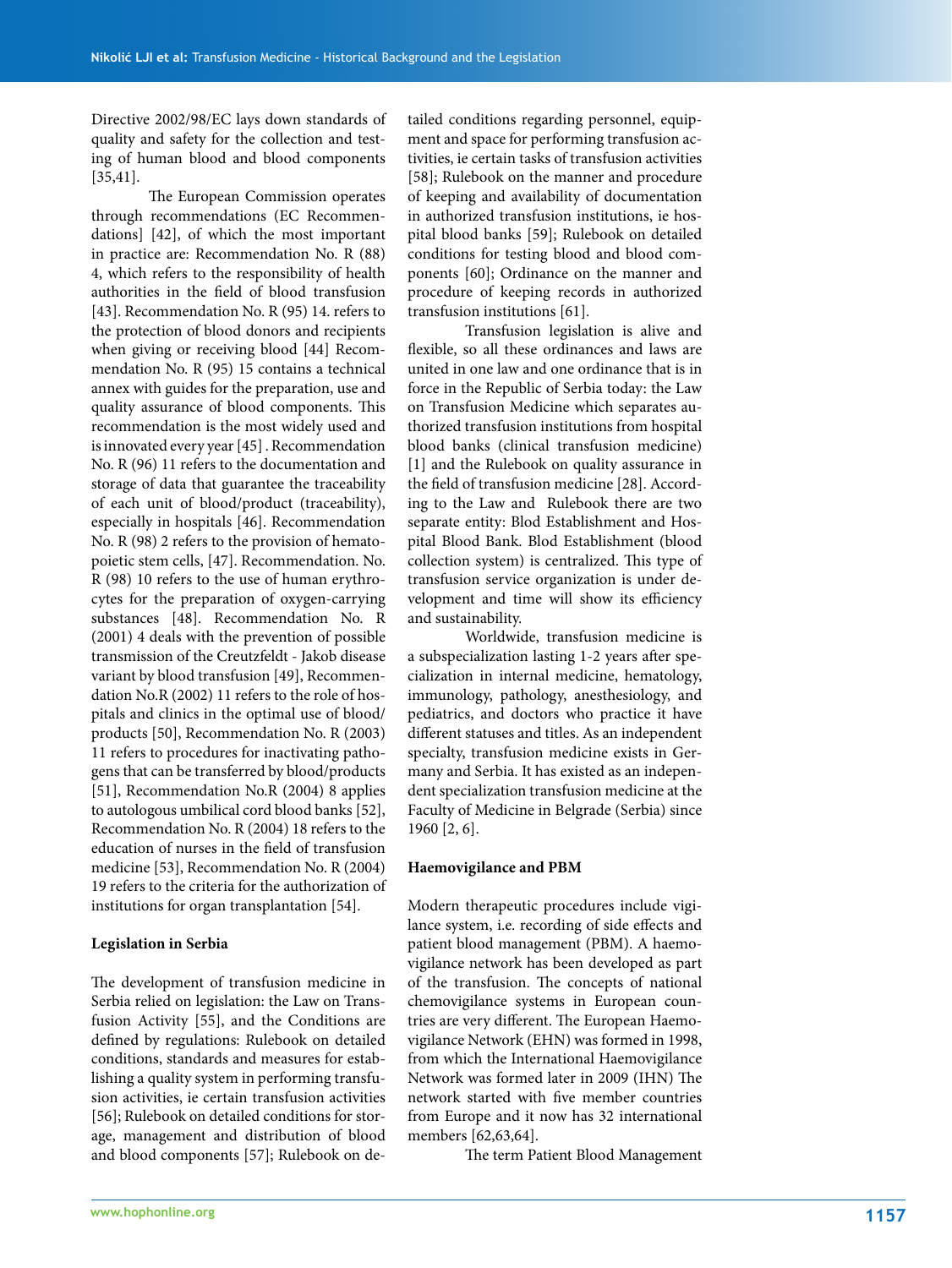Directive 2002/98/EC lays down standards of quality and safety for the collection and testing of human blood and blood components [35,41].

The European Commission operates through recommendations (EC Recommendations] [42], of which the most important in practice are: Recommendation No. R (88) 4, which refers to the responsibility of health authorities in the field of blood transfusion [43]. Recommendation No. R (95) 14. refers to the protection of blood donors and recipients when giving or receiving blood [44] Recommendation No. R (95) 15 contains a technical annex with guides for the preparation, use and quality assurance of blood components. This recommendation is the most widely used and is innovated every year [45] . Recommendation No. R (96) 11 refers to the documentation and storage of data that guarantee the traceability of each unit of blood/product (traceability), especially in hospitals [46]. Recommendation No. R (98) 2 refers to the provision of hematopoietic stem cells, [47]. Recommendation. No. R (98) 10 refers to the use of human erythrocytes for the preparation of oxygen-carrying substances [48]. Recommendation No. R (2001) 4 deals with the prevention of possible transmission of the Creutzfeldt - Jakob disease variant by blood transfusion [49], Recommendation No.R (2002) 11 refers to the role of hospitals and clinics in the optimal use of blood/ products [50], Recommendation No. R (2003) 11 refers to procedures for inactivating pathogens that can be transferred by blood/products [51], Recommendation No.R (2004) 8 applies to autologous umbilical cord blood banks [52], Recommendation No. R (2004) 18 refers to the education of nurses in the field of transfusion medicine [53], Recommendation No. R (2004) 19 refers to the criteria for the authorization of institutions for organ transplantation [54].

#### **Legislation in Serbia**

The development of transfusion medicine in Serbia relied on legislation: the Law on Transfusion Activity [55], and the Conditions are defined by regulations: Rulebook on detailed conditions, standards and measures for establishing a quality system in performing transfusion activities, ie certain transfusion activities [56]; Rulebook on detailed conditions for storage, management and distribution of blood and blood components [57]; Rulebook on detailed conditions regarding personnel, equipment and space for performing transfusion activities, ie certain tasks of transfusion activities [58]; Rulebook on the manner and procedure of keeping and availability of documentation in authorized transfusion institutions, ie hospital blood banks [59]; Rulebook on detailed conditions for testing blood and blood components [60]; Ordinance on the manner and procedure of keeping records in authorized transfusion institutions [61].

Transfusion legislation is alive and flexible, so all these ordinances and laws are united in one law and one ordinance that is in force in the Republic of Serbia today: the Law on Transfusion Medicine which separates authorized transfusion institutions from hospital blood banks (clinical transfusion medicine) [1] and the Rulebook on quality assurance in the field of transfusion medicine [28]. According to the Law and Rulebook there are two separate entity: Blod Establishment and Hospital Blood Bank. Blod Establishment (blood collection system) is centralized. This type of transfusion service organization is under development and time will show its efficiency and sustainability.

Worldwide, transfusion medicine is a subspecialization lasting 1-2 years after specialization in internal medicine, hematology, immunology, pathology, anesthesiology, and pediatrics, and doctors who practice it have different statuses and titles. As an independent specialty, transfusion medicine exists in Germany and Serbia. It has existed as an independent specialization transfusion medicine at the Faculty of Medicine in Belgrade (Serbia) since 1960 [2, 6].

#### **Haemovigilance and PBM**

Modern therapeutic procedures include vigilance system, i.e. recording of side effects and patient blood management (PBM). A haemovigilance network has been developed as part of the transfusion. The concepts of national chemovigilance systems in European countries are very different. The European Haemovigilance Network (EHN) was formed in 1998, from which the International Haemovigilance Network was formed later in 2009 (IHN) The network started with five member countries from Europe and it now has 32 international members [62,63,64].

The term Patient Blood Management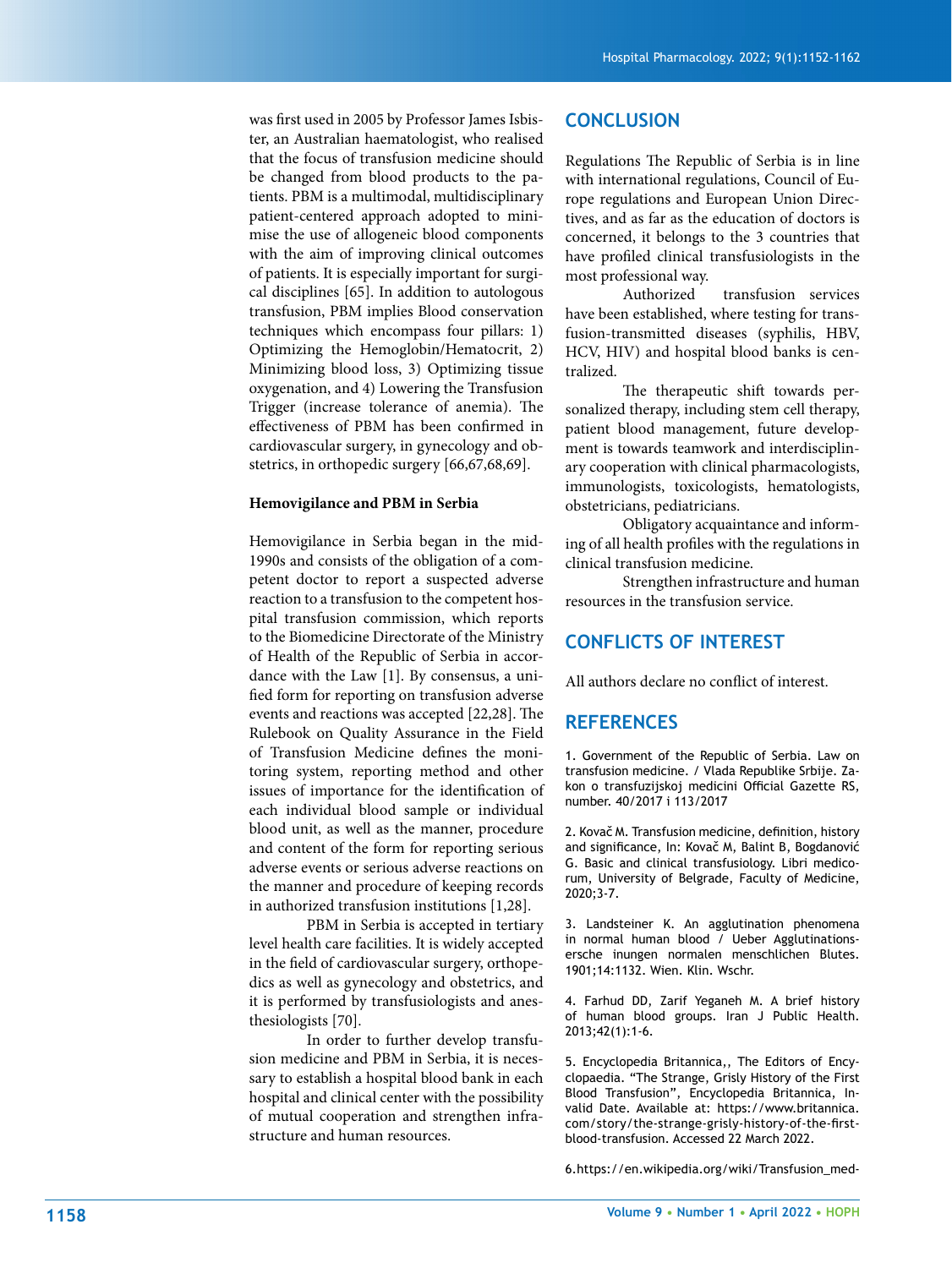was first used in 2005 by Professor James Isbis ter, an Australian haematologist, who realised that the focus of transfusion medicine should be changed from blood products to the pa tients. PBM is a multimodal, multidisciplinary patient-centered approach adopted to mini mise the use of allogeneic blood components with the aim of improving clinical outcomes of patients. It is especially important for surgi cal disciplines [65]. In addition to autologous transfusion, PBM implies Blood conservation techniques which encompass four pillars: 1) Optimizing the Hemoglobin/Hematocrit, 2) Minimizing blood loss, 3) Optimizing tissue oxygenation, and 4) Lowering the Transfusion Trigger (increase tolerance of anemia). The effectiveness of PBM has been confirmed in cardiovascular surgery, in gynecology and ob stetrics, in orthopedic surgery [66,67,68,69].

#### **Hemovigilance and PBM in Serbia**

Hemovigilance in Serbia began in the mid-1990s and consists of the obligation of a competent doctor to report a suspected adverse reaction to a transfusion to the competent hos pital transfusion commission, which reports to the Biomedicine Directorate of the Ministry of Health of the Republic of Serbia in accor dance with the Law [1]. By consensus, a uni fied form for reporting on transfusion adverse events and reactions was accepted [22,28]. The Rulebook on Quality Assurance in the Field of Transfusion Medicine defines the moni toring system, reporting method and other issues of importance for the identification of each individual blood sample or individual blood unit, as well as the manner, procedure and content of the form for reporting serious adverse events or serious adverse reactions on the manner and procedure of keeping records in authorized transfusion institutions [1,28].

PBM in Serbia is accepted in tertiary level health care facilities. It is widely accepted in the field of cardiovascular surgery, orthope dics as well as gynecology and obstetrics, and it is performed by transfusiologists and anes thesiologists [70].

In order to further develop transfu sion medicine and PBM in Serbia, it is neces sary to establish a hospital blood bank in each hospital and clinical center with the possibility of mutual cooperation and strengthen infra structure and human resources.

### **CONCLUSION**

Regulations The Republic of Serbia is in line with international regulations, Council of Eu rope regulations and European Union Direc tives, and as far as the education of doctors is concerned, it belongs to the 3 countries that have profiled clinical transfusiologists in the most professional way.

Authorized transfusion services have been established, where testing for trans fusion-transmitted diseases (syphilis, HBV, HCV, HIV) and hospital blood banks is cen tralized.

The therapeutic shift towards per sonalized therapy, including stem cell therapy, patient blood management, future develop ment is towards teamwork and interdisciplin ary cooperation with clinical pharmacologists, immunologists, toxicologists, hematologists, obstetricians, pediatricians.

Obligatory acquaintance and inform ing of all health profiles with the regulations in clinical transfusion medicine.

Strengthen infrastructure and human resources in the transfusion service.

# **CONFLICTS OF INTEREST**

All authors declare no conflict of interest.

#### **REFERENCES**

1. Government of the Republic of Serbia. Law on transfusion medicine. / Vlada Republike Srbije. Za kon o transfuzijskoj medicini Official Gazette RS, number. 40/2017 i 113/2017

2. Kovač M. Transfusion medicine, definition, history and significance, In: Kovač M, Balint B, Bogdanović G. Basic and clinical transfusiology. Libri medico rum, University of Belgrade, Faculty of Medicine, 2020;3-7.

3. Landsteiner K. An agglutination phenomena in normal human blood / Ueber Agglutinations ersche inungen normalen menschlichen Blutes. 1901;14:1132. Wien. Klin. Wschr.

4. Farhud DD, Zarif Yeganeh M. A brief history of human blood groups. Iran J Public Health. 2013;42(1):1-6.

5. Encyclopedia Britannica,, The Editors of Ency clopaedia. "The Strange, Grisly History of the First Blood Transfusion", Encyclopedia Britannica, In valid Date. Available at: https://www.britannica. com/story/the-strange-grisly-history-of-the-firstblood-transfusion. Accessed 22 March 2022.

6.https://en.wikipedia.org/wiki/Transfusion\_med -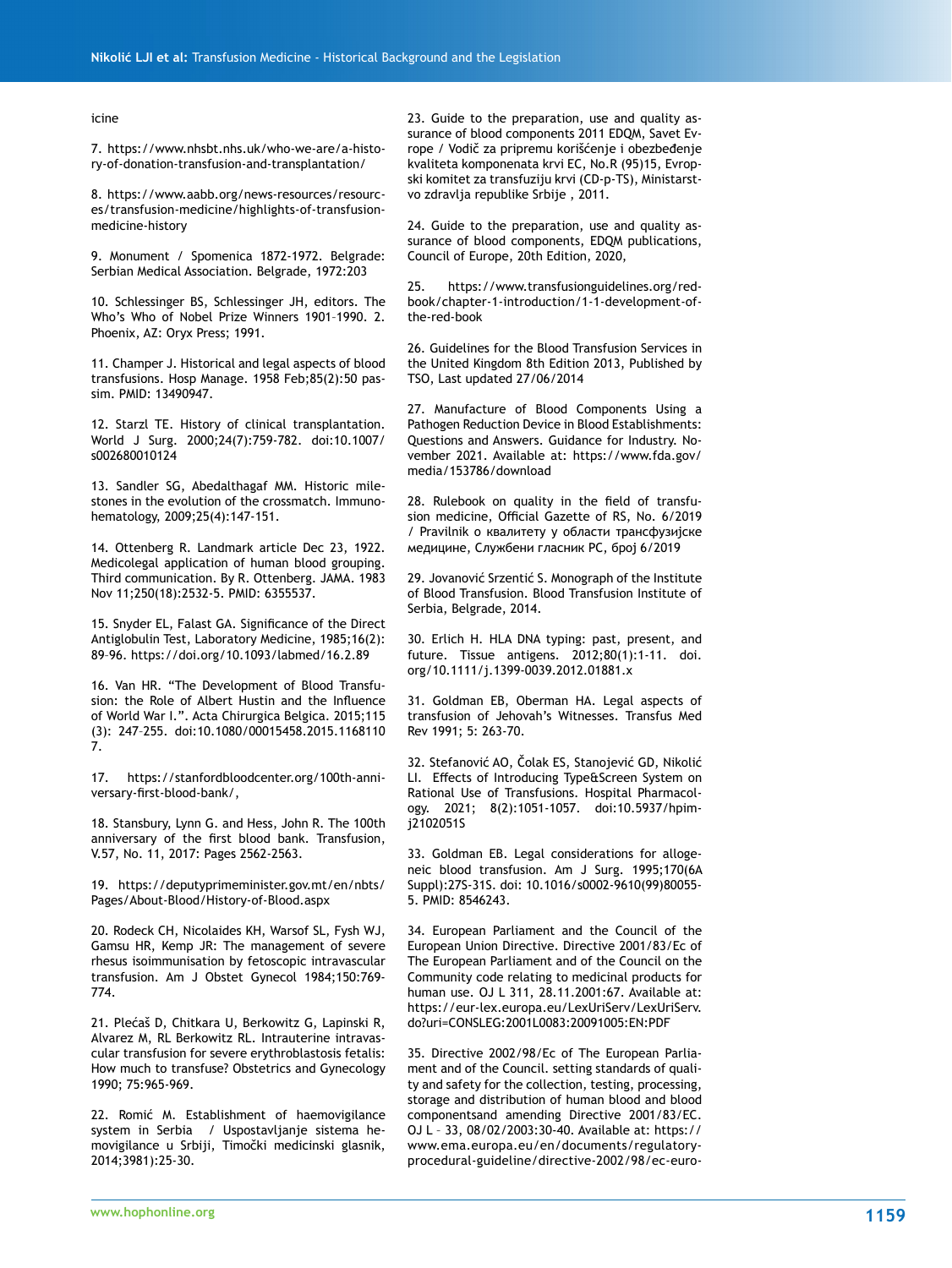icine

7. https://www.nhsbt.nhs.uk/who-we-are/a-history-of-donation-transfusion-and-transplantation/

8. https://www.aabb.org/news-resources/resources/transfusion-medicine/highlights-of-transfusionmedicine-history

9. Monument / Spomenica 1872-1972. Belgrade: Serbian Medical Association. Belgrade, 1972:203

10. Schlessinger BS, Schlessinger JH, editors. The Who's Who of Nobel Prize Winners 1901–1990. 2. Phoenix, AZ: Oryx Press; 1991.

11. Champer J. Historical and legal aspects of blood transfusions. Hosp Manage. 1958 Feb;85(2):50 passim. PMID: 13490947.

12. Starzl TE. History of clinical transplantation. World J Surg. 2000;24(7):759-782. doi:10.1007/ s002680010124

13. Sandler SG, Abedalthagaf MM. Historic milestones in the evolution of the crossmatch. Immunohematology, 2009;25(4):147-151.

14. Ottenberg R. Landmark article Dec 23, 1922. Medicolegal application of human blood grouping. Third communication. By R. Ottenberg. JAMA. 1983 Nov 11;250(18):2532-5. PMID: 6355537.

15. Snyder EL, Falast GA. Significance of the Direct Antiglobulin Test, Laboratory Medicine, 1985;16(2): 89–96. https://doi.org/10.1093/labmed/16.2.89

16. Van HR. "The Development of Blood Transfusion: the Role of Albert Hustin and the Influence of World War I.". Acta Chirurgica Belgica. 2015;115 (3): 247–255. doi:10.1080/00015458.2015.1168110 7.

17. https://stanfordbloodcenter.org/100th-anniversary-first-blood-bank/,

18. Stansbury, Lynn G. and Hess, John R. The 100th anniversary of the first blood bank. Transfusion, V.57, No. 11, 2017: Pages 2562-2563.

19. https://deputyprimeminister.gov.mt/en/nbts/ Pages/About-Blood/History-of-Blood.aspx

20. Rodeck CH, Nicolaides KH, Warsof SL, Fysh WJ, Gamsu HR, Kemp JR: The management of severe rhesus isoimmunisation by fetoscopic intravascular transfusion. Am J Obstet Gynecol 1984;150:769- 774.

21. Plećaš D, Chitkara U, Berkowitz G, Lapinski R, Alvarez M, RL Berkowitz RL. Intrauterine intravascular transfusion for severe erythroblastosis fetalis: How much to transfuse? Obstetrics and Gynecology 1990; 75:965-969.

22. Romić M. Establishment of haemovigilance system in Serbia / Uspostavljanje sistema hemovigilance u Srbiji, Timočki medicinski glasnik, 2014;3981):25-30.

23. Guide to the preparation, use and quality assurance of blood components 2011 EDQM, Savet Evrope / Vodič za pripremu korišćenje i obezbeđenje kvaliteta komponenata krvi EC, No.R (95)15, Evropski komitet za transfuziju krvi (CD-p-TS), Ministarstvo zdravlja republike Srbije , 2011.

24. Guide to the preparation, use and quality assurance of blood components, EDQM publications, Council of Europe, 20th Edition, 2020,

https://www.transfusionguidelines.org/redbook/chapter-1-introduction/1-1-development-ofthe-red-book

26. Guidelines for the Blood Transfusion Services in the United Kingdom 8th Edition 2013, Published by TSO, Last updated 27/06/2014

27. Manufacture of Blood Components Using a Pathogen Reduction Device in Blood Establishments: Questions and Answers. Guidance for Industry. November 2021. Available at: https://www.fda.gov/ media/153786/download

28. Rulebook on quality in the field of transfusion medicine, Official Gazette of RS, No. 6/2019 / Pravilnik о квалитету у области трансфузијске медицине, Службени гласник РС, број 6/2019

29. Jovanović Srzentić S. Monograph of the Institute of Blood Transfusion. Blood Transfusion Institute of Serbia, Belgrade, 2014.

30. Erlich H. HLA DNA typing: past, present, and future. Tissue antigens. 2012;80(1):1-11. doi. org/10.1111/j.1399-0039.2012.01881.x

31. Goldman EB, Oberman HA. Legal aspects of transfusion of Jehovah's Witnesses. Transfus Med Rev 1991; 5: 263-70.

32. Stefanović AO, Čolak ES, Stanojević GD, Nikolić LI. Effects of Introducing Type&Screen System on Rational Use of Transfusions. Hospital Pharmacology. 2021; 8(2):1051-1057. doi:10.5937/hpimj2102051S

33. Goldman EB. Legal considerations for allogeneic blood transfusion. Am J Surg. 1995;170(6A Suppl):27S-31S. doi: 10.1016/s0002-9610(99)80055- 5. PMID: 8546243.

34. European Parliament and the Council of the European Union Directive. Directive 2001/83/Ec of The European Parliament and of the Council on the Community code relating to medicinal products for human use. OJ L 311, 28.11.2001:67. Available at: https://eur-lex.europa.eu/LexUriServ/LexUriServ. do?uri=CONSLEG:2001L0083:20091005:EN:PDF

35. Directive 2002/98/Ec of The European Parliament and of the Council. setting standards of quality and safety for the collection, testing, processing, storage and distribution of human blood and blood componentsand amending Directive 2001/83/EC. OJ L – 33, 08/02/2003:30-40. Available at: https:// www.ema.europa.eu/en/documents/regulatoryprocedural-guideline/directive-2002/98/ec-euro-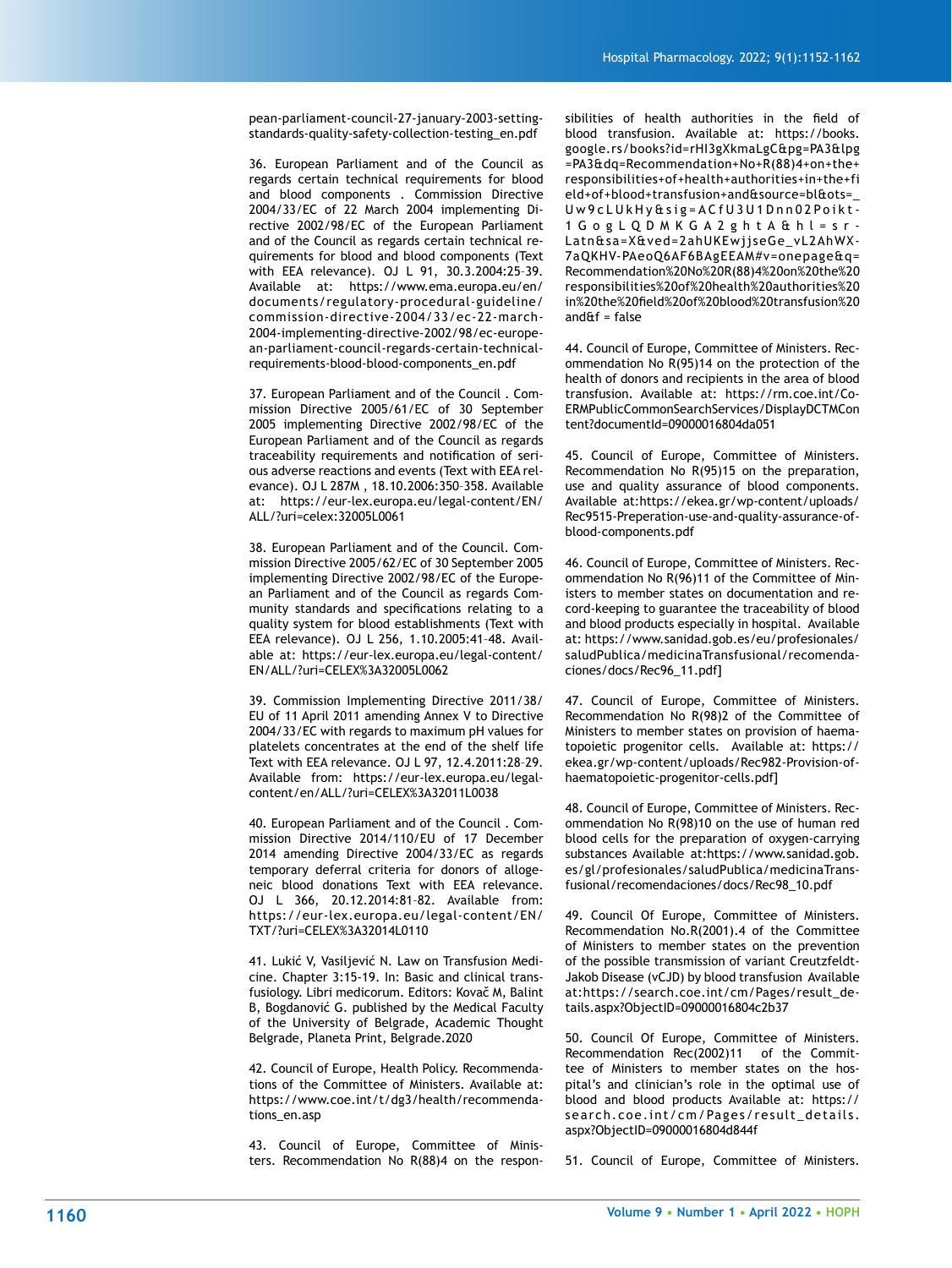pean-parliament-council-27-january-2003-settingstandards-quality-safety-collection-testing\_en.pdf

36. European Parliament and of the Council as regards certain technical requirements for blood and blood components . Commission Directive 2004/33/EC of 22 March 2004 implementing Directive 2002/98/EC of the European Parliament and of the Council as regards certain technical requirements for blood and blood components (Text with EEA relevance). OJ L 91, 30.3.2004:25–39. Available at: https://www.ema.europa.eu/en/ documents/regulatory-procedural-guideline/ commission-directive-2004/33/ec-22-march-2004-implementing-directive-2002/98/ec-european-parliament-council-regards-certain-technicalrequirements-blood-blood-components\_en.pdf

37. European Parliament and of the Council . Commission Directive 2005/61/EC of 30 September 2005 implementing Directive 2002/98/EC of the European Parliament and of the Council as regards traceability requirements and notification of serious adverse reactions and events (Text with EEA relevance). OJ L 287M , 18.10.2006:350–358. Available at: https://eur-lex.europa.eu/legal-content/EN/ ALL/?uri=celex:32005L0061

38. European Parliament and of the Council. Commission Directive 2005/62/EC of 30 September 2005 implementing Directive 2002/98/EC of the European Parliament and of the Council as regards Community standards and specifications relating to a quality system for blood establishments (Text with EEA relevance). OJ L 256, 1.10.2005:41–48. Available at: https://eur-lex.europa.eu/legal-content/ EN/ALL/?uri=CELEX%3A32005L0062

39. Commission Implementing Directive 2011/38/ EU of 11 April 2011 amending Annex V to Directive 2004/33/EC with regards to maximum pH values for platelets concentrates at the end of the shelf life Text with EEA relevance. OJ L 97, 12.4.2011:28–29. Available from: https://eur-lex.europa.eu/legalcontent/en/ALL/?uri=CELEX%3A32011L0038

40. European Parliament and of the Council . Commission Directive 2014/110/EU of 17 December 2014 amending Directive 2004/33/EC as regards temporary deferral criteria for donors of allogeneic blood donations Text with EEA relevance. OJ L 366, 20.12.2014:81–82. Available from: https://eur-lex.europa.eu/legal-content/EN/ TXT/?uri=CELEX%3A32014L0110

41. Lukić V, Vasiljević N. Law on Transfusion Medicine. Chapter 3:15-19. In: Basic and clinical transfusiology. Libri medicorum. Editors: Kovač M, Balint B, Bogdanović G. published by the Medical Faculty of the University of Belgrade, Academic Thought Belgrade, Planeta Print, Belgrade.2020

42. Council of Europe, Health Policy. Recommendations of the Committee of Ministers. Available at: https://www.coe.int/t/dg3/health/recommendations\_en.asp

43. Council of Europe, Committee of Ministers. Recommendation No R(88)4 on the responsibilities of health authorities in the field of blood transfusion. Available at: https://books. google.rs/books?id=rHI3gXkmaLgC&pg=PA3&lpg =PA3&dq=Recommendation+No+R(88)4+on+the+ responsibilities+of+health+authorities+in+the+fi eld+of+blood+transfusion+and&source=bl&ots=\_ Uw9cLUkHy&sig=ACfU3U1Dnn02Poikt-1GogLQDMKGA2ghtA&hl=sr-Latn&sa=X&ved=2ahUKEwjjseGe\_vL2AhWX-7aQKHV-PAeoQ6AF6BAgEEAM#v=onepage&q= Recommendation%20No%20R(88)4%20on%20the%20 responsibilities%20of%20health%20authorities%20 in%20the%20field%20of%20blood%20transfusion%20 and $Af = f$ alse

44. Council of Europe, Committee of Ministers. Recommendation No R(95)14 on the protection of the health of donors and recipients in the area of blood transfusion. Available at: https://rm.coe.int/Co-ERMPublicCommonSearchServices/DisplayDCTMCon tent?documentId=09000016804da051

45. Council of Europe, Committee of Ministers. Recommendation No R(95)15 on the preparation, use and quality assurance of blood components. Available at:https://ekea.gr/wp-content/uploads/ Rec9515-Preperation-use-and-quality-assurance-ofblood-components.pdf

46. Council of Europe, Committee of Ministers. Recommendation No R(96)11 of the Committee of Ministers to member states on documentation and record-keeping to guarantee the traceability of blood and blood products especially in hospital. Available at: https://www.sanidad.gob.es/eu/profesionales/ saludPublica/medicinaTransfusional/recomendaciones/docs/Rec96\_11.pdf]

47. Council of Europe, Committee of Ministers. Recommendation No R(98)2 of the Committee of Ministers to member states on provision of haematopoietic progenitor cells. Available at: https:// ekea.gr/wp-content/uploads/Rec982-Provision-ofhaematopoietic-progenitor-cells.pdf]

48. Council of Europe, Committee of Ministers. Recommendation No R(98)10 on the use of human red blood cells for the preparation of oxygen-carrying substances Available at:https://www.sanidad.gob. es/gl/profesionales/saludPublica/medicinaTransfusional/recomendaciones/docs/Rec98\_10.pdf

49. Council Of Europe, Committee of Ministers. Recommendation No.R(2001).4 of the Committee of Ministers to member states on the prevention of the possible transmission of variant Creutzfeldt-Jakob Disease (vCJD) by blood transfusion Available at:https://search.coe.int/cm/Pages/result\_details.aspx?ObjectID=09000016804c2b37

50. Council Of Europe, Committee of Ministers. Recommendation Rec(2002)11 of the Committee of Ministers to member states on the hospital's and clinician's role in the optimal use of blood and blood products Available at: https:// search.coe.int/cm/Pages/result\_details. aspx?ObjectID=09000016804d844f

51. Council of Europe, Committee of Ministers.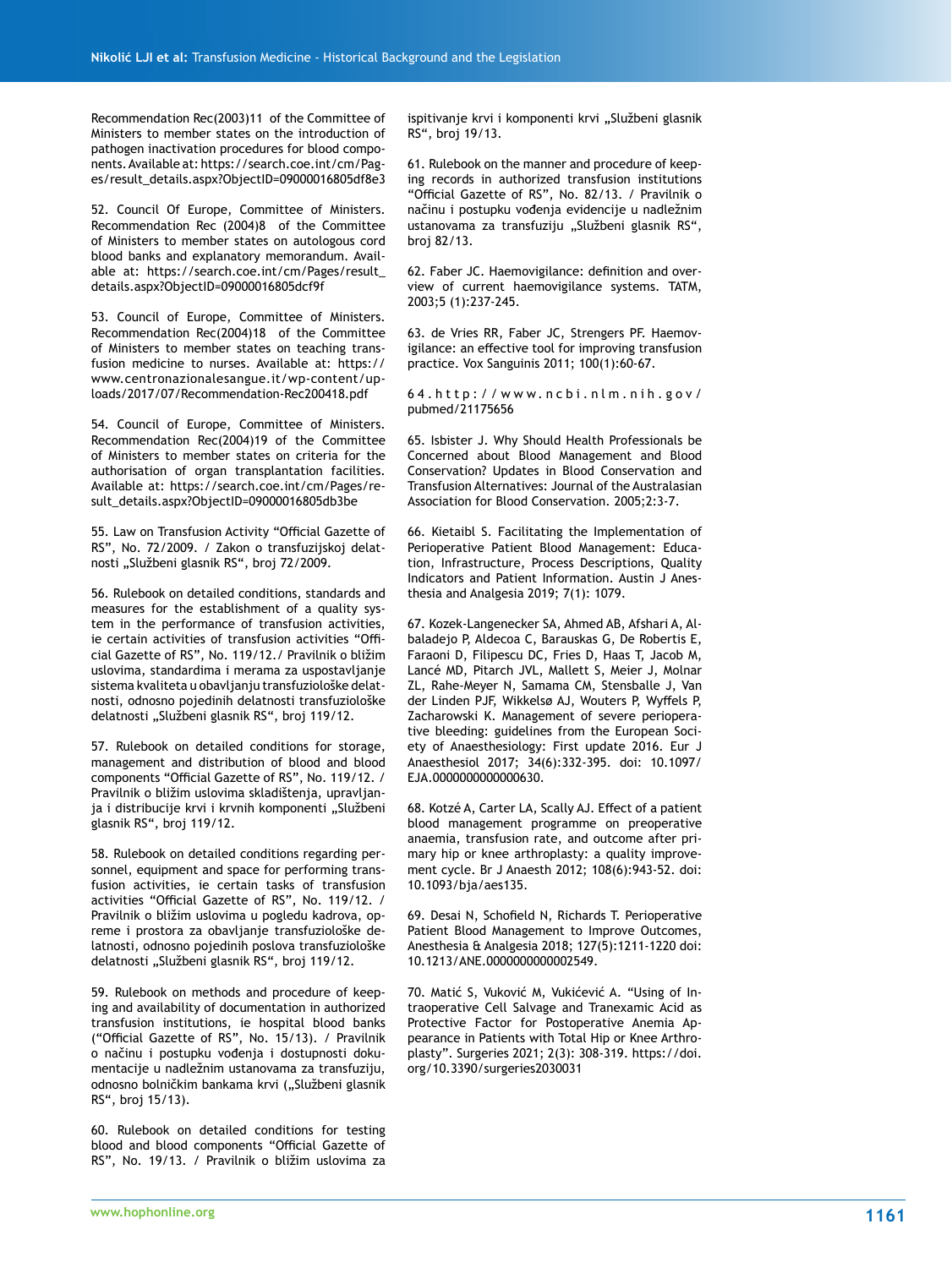Recommendation Rec(2003)11 of the Committee of Ministers to member states on the introduction of pathogen inactivation procedures for blood components. Available at: https://search.coe.int/cm/Pages/result\_details.aspx?ObjectID=09000016805df8e3

52. Council Of Europe, Committee of Ministers. Recommendation Rec (2004)8 of the Committee of Ministers to member states on autologous cord blood banks and explanatory memorandum. Available at: https://search.coe.int/cm/Pages/result\_ details.aspx?ObjectID=09000016805dcf9f

53. Council of Europe, Committee of Ministers. Recommendation Rec(2004)18 of the Committee of Ministers to member states on teaching transfusion medicine to nurses. Available at: https:// www.centronazionalesangue.it/wp-content/uploads/2017/07/Recommendation-Rec200418.pdf

54. Council of Europe, Committee of Ministers. Recommendation Rec(2004)19 of the Committee of Ministers to member states on criteria for the authorisation of organ transplantation facilities. Available at: https://search.coe.int/cm/Pages/result\_details.aspx?ObjectID=09000016805db3be

55. Law on Transfusion Activity "Official Gazette of RS", No. 72/2009. / Zakon o transfuzijskoj delatnosti "Službeni glasnik RS", broj 72/2009.

56. Rulebook on detailed conditions, standards and measures for the establishment of a quality system in the performance of transfusion activities, ie certain activities of transfusion activities "Official Gazette of RS", No. 119/12./ Pravilnik o bližim uslovima, standardima i merama za uspostavljanje sistema kvaliteta u obavljanju transfuziološke delatnosti, odnosno pojedinih delatnosti transfuziološke delatnosti "Službeni glasnik RS", broj 119/12.

57. Rulebook on detailed conditions for storage, management and distribution of blood and blood components "Official Gazette of RS", No. 119/12. / Pravilnik o bližim uslovima skladištenja, upravljanja i distribucije krvi i krvnih komponenti "Službeni glasnik RS", broj 119/12.

58. Rulebook on detailed conditions regarding personnel, equipment and space for performing transfusion activities, ie certain tasks of transfusion activities "Official Gazette of RS", No. 119/12. / Pravilnik o bližim uslovima u pogledu kadrova, opreme i prostora za obavljanje transfuziološke delatnosti, odnosno pojedinih poslova transfuziološke delatnosti "Službeni glasnik RS", broj 119/12.

59. Rulebook on methods and procedure of keeping and availability of documentation in authorized transfusion institutions, ie hospital blood banks ("Official Gazette of RS", No. 15/13). / Pravilnik o načinu i postupku vođenja i dostupnosti dokumentacije u nadležnim ustanovama za transfuziju, odnosno bolničkim bankama krvi ("Službeni glasnik RS", broj 15/13).

60. Rulebook on detailed conditions for testing blood and blood components "Official Gazette of RS", No. 19/13. / Pravilnik o bližim uslovima za ispitivanje krvi i komponenti krvi "Službeni glasnik RS", broj 19/13.

61. Rulebook on the manner and procedure of keeping records in authorized transfusion institutions "Official Gazette of RS", No. 82/13. / Pravilnik o načinu i postupku vođenja evidencije u nadležnim ustanovama za transfuziju "Službeni glasnik RS", broj 82/13.

62. Faber JC. Haemovigilance: definition and overview of current haemovigilance systems. TATM, 2003;5 (1):237-245.

63. de Vries RR, Faber JC, Strengers PF. Haemovigilance: an effective tool for improving transfusion practice. Vox Sanguinis 2011; 100(1):60-67.

64.http://www.ncbi.nlm.nih.gov/ pubmed/21175656

65. Isbister J. Why Should Health Professionals be Concerned about Blood Management and Blood Conservation? Updates in Blood Conservation and Transfusion Alternatives: Journal of the Australasian Association for Blood Conservation. 2005;2:3-7.

66. Kietaibl S. Facilitating the Implementation of Perioperative Patient Blood Management: Education, Infrastructure, Process Descriptions, Quality Indicators and Patient Information. Austin J Anesthesia and Analgesia 2019; 7(1): 1079.

67. Kozek-Langenecker SA, Ahmed AB, Afshari A, Albaladejo P, Aldecoa C, Barauskas G, De Robertis E, Faraoni D, Filipescu DC, Fries D, Haas T, Jacob M, Lancé MD, Pitarch JVL, Mallett S, Meier J, Molnar ZL, Rahe-Meyer N, Samama CM, Stensballe J, Van der Linden PJF, Wikkelsø AJ, Wouters P, Wyffels P, Zacharowski K. Management of severe perioperative bleeding: guidelines from the European Society of Anaesthesiology: First update 2016. Eur J Anaesthesiol 2017; 34(6):332-395. doi: 10.1097/ EJA.0000000000000630.

68. Kotzé A, Carter LA, Scally AJ. Effect of a patient blood management programme on preoperative anaemia, transfusion rate, and outcome after primary hip or knee arthroplasty: a quality improvement cycle. Br J Anaesth 2012; 108(6):943-52. doi: 10.1093/bja/aes135.

69. Desai N, Schofield N, Richards T. Perioperative Patient Blood Management to Improve Outcomes, Anesthesia & Analgesia 2018; 127(5):1211-1220 doi: 10.1213/ANE.0000000000002549.

70. Matić S, Vuković M, Vukićević A. "Using of Intraoperative Cell Salvage and Tranexamic Acid as Protective Factor for Postoperative Anemia Appearance in Patients with Total Hip or Knee Arthroplasty". Surgeries 2021; 2(3): 308-319. https://doi. org/10.3390/surgeries2030031